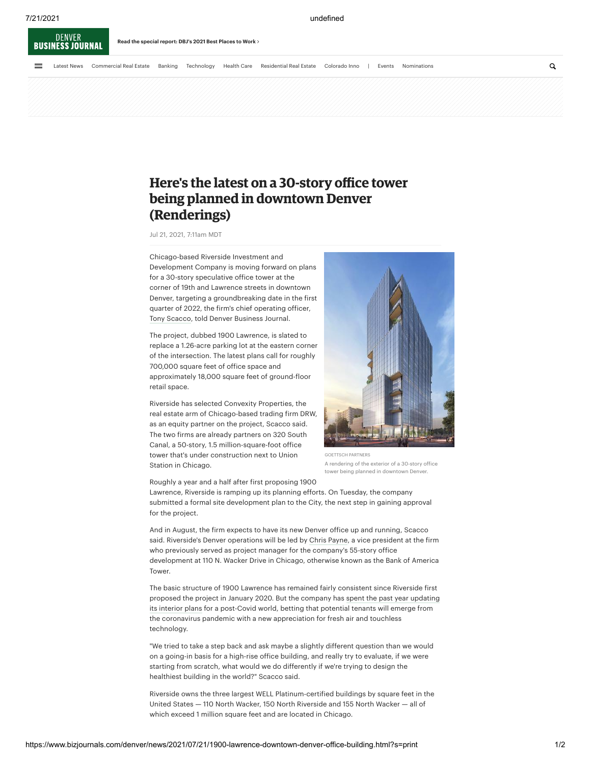

## **Here's the latest on a 30-story office tower being planned in downtown Denver (Renderings)**

Jul 21, 2021, 7:11am MDT

Chicago-based Riverside Investment and Development Company is moving forward on plans for a 30-story speculative office tower at the corner of 19th and Lawrence streets in downtown Denver, targeting a groundbreaking date in the first quarter of 2022, the firm's chief operating officer, [Tony Scacco](https://www.bizjournals.com/denver/search/results?q=Tony%20Scacco), told Denver Business Journal.

The project, dubbed 1900 Lawrence, is slated to replace a 1.26-acre parking lot at the eastern corner of the intersection. The latest plans call for roughly 700,000 square feet of office space and approximately 18,000 square feet of ground-floor retail space.

Riverside has selected Convexity Properties, the real estate arm of Chicago-based trading firm DRW, as an equity partner on the project, Scacco said. The two firms are already partners on 320 South Canal, a 50-story, 1.5 million-square-foot office tower that's under construction next to Union Station in Chicago.



A rendering of the exterior of a 30-story office tower being planned in downtown Denver.

Roughly a year and a half after first proposing 1900

Lawrence, Riverside is ramping up its planning efforts. On Tuesday, the company submitted a formal site development plan to the City, the next step in gaining approval for the project.

And in August, the firm expects to have its new Denver office up and running, Scacco said. Riverside's Denver operations will be led by [Chris Payne,](https://www.bizjournals.com/denver/search/results?q=Chris%20Payne) a vice president at the firm who previously served as project manager for the company's 55-story office development at 110 N. Wacker Drive in Chicago, otherwise known as the Bank of America Tower.

The basic structure of 1900 Lawrence has remained fairly consistent since Riverside first [proposed the project in January 2020. But the company has spent the past year updating](https://www.bizjournals.com/denver/news/2020/07/15/1900-lawrence-riverside-office-tower-denver.html) its interior plans for a post-Covid world, betting that potential tenants will emerge from the coronavirus pandemic with a new appreciation for fresh air and touchless technology.

"We tried to take a step back and ask maybe a slightly different question than we would on a going-in basis for a high-rise office building, and really try to evaluate, if we were starting from scratch, what would we do differently if we're trying to design the healthiest building in the world?" Scacco said.

Riverside owns the three largest WELL Platinum-certified buildings by square feet in the United States — 110 North Wacker, 150 North Riverside and 155 North Wacker — all of which exceed 1 million square feet and are located in Chicago.